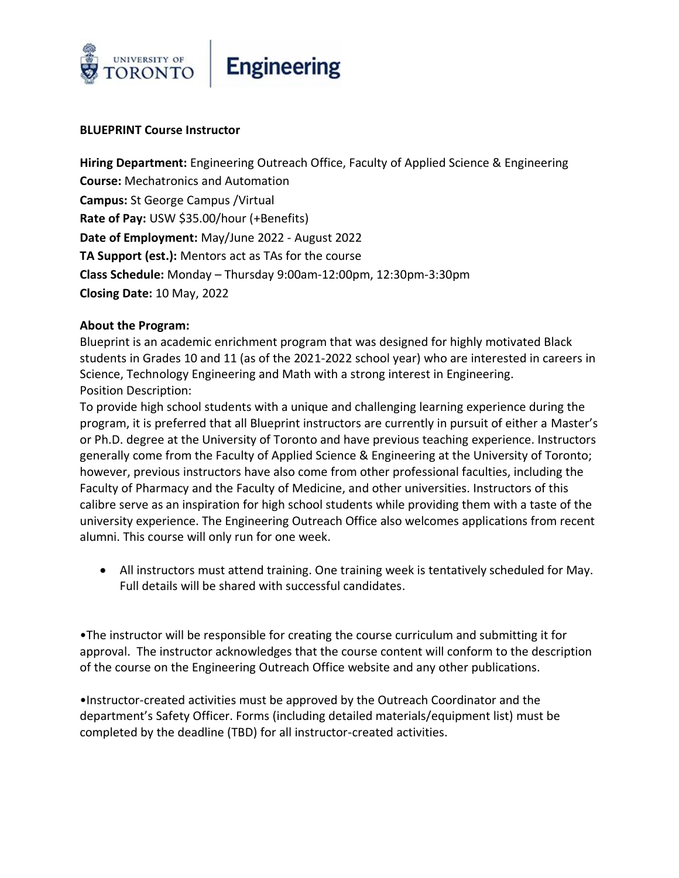

## **Engineering**

#### **BLUEPRINT Course Instructor**

**Hiring Department:** Engineering Outreach Office, Faculty of Applied Science & Engineering **Course:** Mechatronics and Automation **Campus:** St George Campus /Virtual **Rate of Pay:** USW \$35.00/hour (+Benefits) **Date of Employment:** May/June 2022 - August 2022 **TA Support (est.):** Mentors act as TAs for the course **Class Schedule:** Monday – Thursday 9:00am-12:00pm, 12:30pm-3:30pm **Closing Date:** 10 May, 2022

#### **About the Program:**

Blueprint is an academic enrichment program that was designed for highly motivated Black students in Grades 10 and 11 (as of the 2021-2022 school year) who are interested in careers in Science, Technology Engineering and Math with a strong interest in Engineering. Position Description:

To provide high school students with a unique and challenging learning experience during the program, it is preferred that all Blueprint instructors are currently in pursuit of either a Master's or Ph.D. degree at the University of Toronto and have previous teaching experience. Instructors generally come from the Faculty of Applied Science & Engineering at the University of Toronto; however, previous instructors have also come from other professional faculties, including the Faculty of Pharmacy and the Faculty of Medicine, and other universities. Instructors of this calibre serve as an inspiration for high school students while providing them with a taste of the university experience. The Engineering Outreach Office also welcomes applications from recent alumni. This course will only run for one week.

• All instructors must attend training. One training week is tentatively scheduled for May. Full details will be shared with successful candidates.

•The instructor will be responsible for creating the course curriculum and submitting it for approval. The instructor acknowledges that the course content will conform to the description of the course on the Engineering Outreach Office website and any other publications.

•Instructor-created activities must be approved by the Outreach Coordinator and the department's Safety Officer. Forms (including detailed materials/equipment list) must be completed by the deadline (TBD) for all instructor-created activities.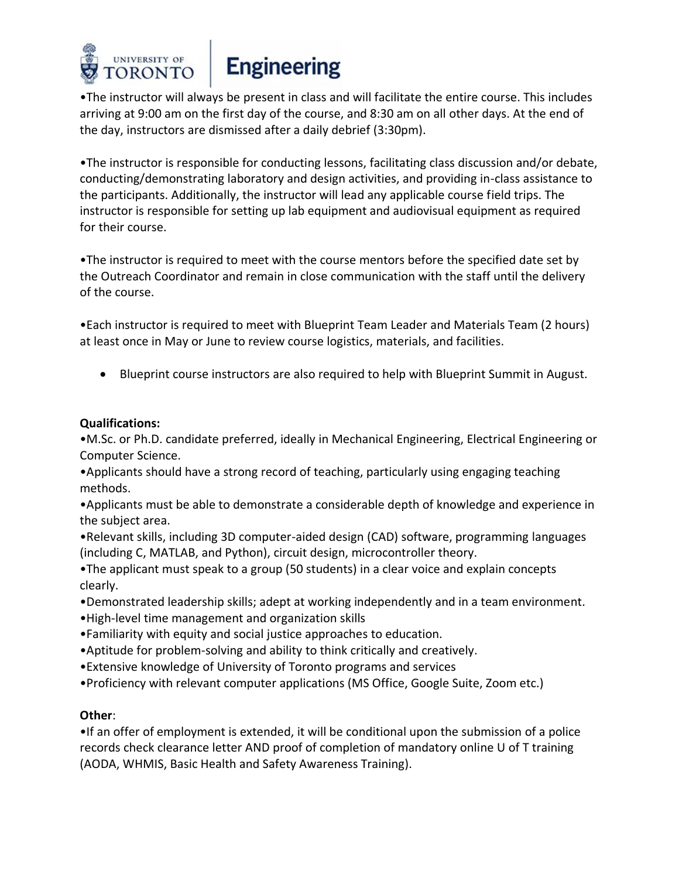

# **Engineering**

•The instructor will always be present in class and will facilitate the entire course. This includes arriving at 9:00 am on the first day of the course, and 8:30 am on all other days. At the end of the day, instructors are dismissed after a daily debrief (3:30pm).

•The instructor is responsible for conducting lessons, facilitating class discussion and/or debate, conducting/demonstrating laboratory and design activities, and providing in-class assistance to the participants. Additionally, the instructor will lead any applicable course field trips. The instructor is responsible for setting up lab equipment and audiovisual equipment as required for their course.

•The instructor is required to meet with the course mentors before the specified date set by the Outreach Coordinator and remain in close communication with the staff until the delivery of the course.

•Each instructor is required to meet with Blueprint Team Leader and Materials Team (2 hours) at least once in May or June to review course logistics, materials, and facilities.

• Blueprint course instructors are also required to help with Blueprint Summit in August.

#### **Qualifications:**

•M.Sc. or Ph.D. candidate preferred, ideally in Mechanical Engineering, Electrical Engineering or Computer Science.

•Applicants should have a strong record of teaching, particularly using engaging teaching methods.

•Applicants must be able to demonstrate a considerable depth of knowledge and experience in the subject area.

•Relevant skills, including 3D computer-aided design (CAD) software, programming languages (including C, MATLAB, and Python), circuit design, microcontroller theory.

•The applicant must speak to a group (50 students) in a clear voice and explain concepts clearly.

- •Demonstrated leadership skills; adept at working independently and in a team environment.
- •High-level time management and organization skills
- •Familiarity with equity and social justice approaches to education.
- •Aptitude for problem-solving and ability to think critically and creatively.
- •Extensive knowledge of University of Toronto programs and services
- •Proficiency with relevant computer applications (MS Office, Google Suite, Zoom etc.)

### **Other**:

•If an offer of employment is extended, it will be conditional upon the submission of a police records check clearance letter AND proof of completion of mandatory online U of T training (AODA, WHMIS, Basic Health and Safety Awareness Training).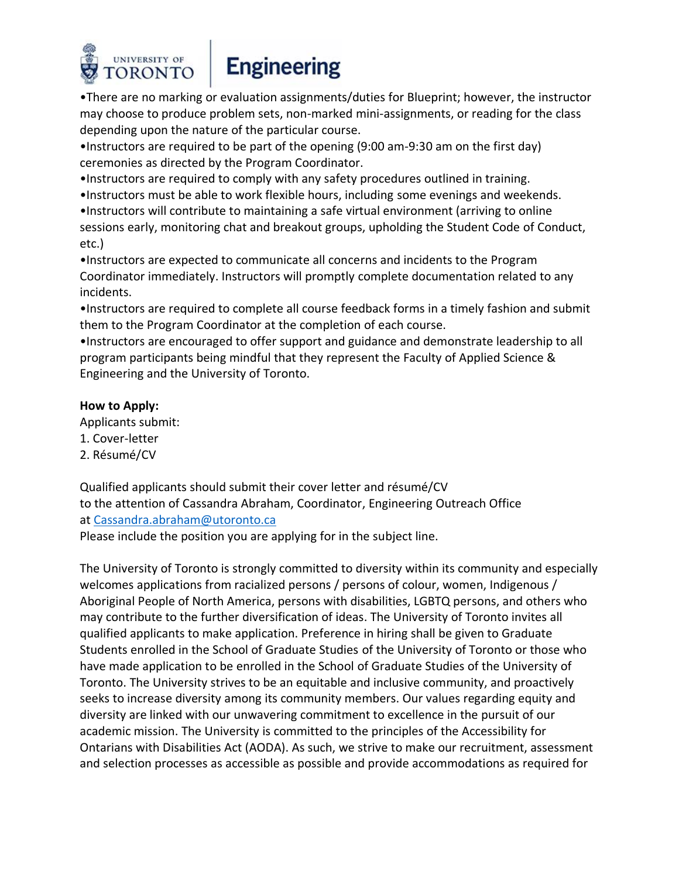

# **Engineering**

•There are no marking or evaluation assignments/duties for Blueprint; however, the instructor may choose to produce problem sets, non-marked mini-assignments, or reading for the class depending upon the nature of the particular course.

•Instructors are required to be part of the opening (9:00 am-9:30 am on the first day) ceremonies as directed by the Program Coordinator.

•Instructors are required to comply with any safety procedures outlined in training.

•Instructors must be able to work flexible hours, including some evenings and weekends.

•Instructors will contribute to maintaining a safe virtual environment (arriving to online sessions early, monitoring chat and breakout groups, upholding the Student Code of Conduct, etc.)

•Instructors are expected to communicate all concerns and incidents to the Program Coordinator immediately. Instructors will promptly complete documentation related to any incidents.

•Instructors are required to complete all course feedback forms in a timely fashion and submit them to the Program Coordinator at the completion of each course.

•Instructors are encouraged to offer support and guidance and demonstrate leadership to all program participants being mindful that they represent the Faculty of Applied Science & Engineering and the University of Toronto.

### **How to Apply:**

Applicants submit:

- 1. Cover-letter
- 2. Résumé/CV

Qualified applicants should submit their cover letter and résumé/CV to the attention of Cassandra Abraham, Coordinator, Engineering Outreach Office at [Cassandra.abraham@utoronto.ca](/Users/cassandraabraham/Downloads/Cassandra.abraham@utoronto.ca)

Please include the position you are applying for in the subject line.

The University of Toronto is strongly committed to diversity within its community and especially welcomes applications from racialized persons / persons of colour, women, Indigenous / Aboriginal People of North America, persons with disabilities, LGBTQ persons, and others who may contribute to the further diversification of ideas. The University of Toronto invites all qualified applicants to make application. Preference in hiring shall be given to Graduate Students enrolled in the School of Graduate Studies of the University of Toronto or those who have made application to be enrolled in the School of Graduate Studies of the University of Toronto. The University strives to be an equitable and inclusive community, and proactively seeks to increase diversity among its community members. Our values regarding equity and diversity are linked with our unwavering commitment to excellence in the pursuit of our academic mission. The University is committed to the principles of the Accessibility for Ontarians with Disabilities Act (AODA). As such, we strive to make our recruitment, assessment and selection processes as accessible as possible and provide accommodations as required for